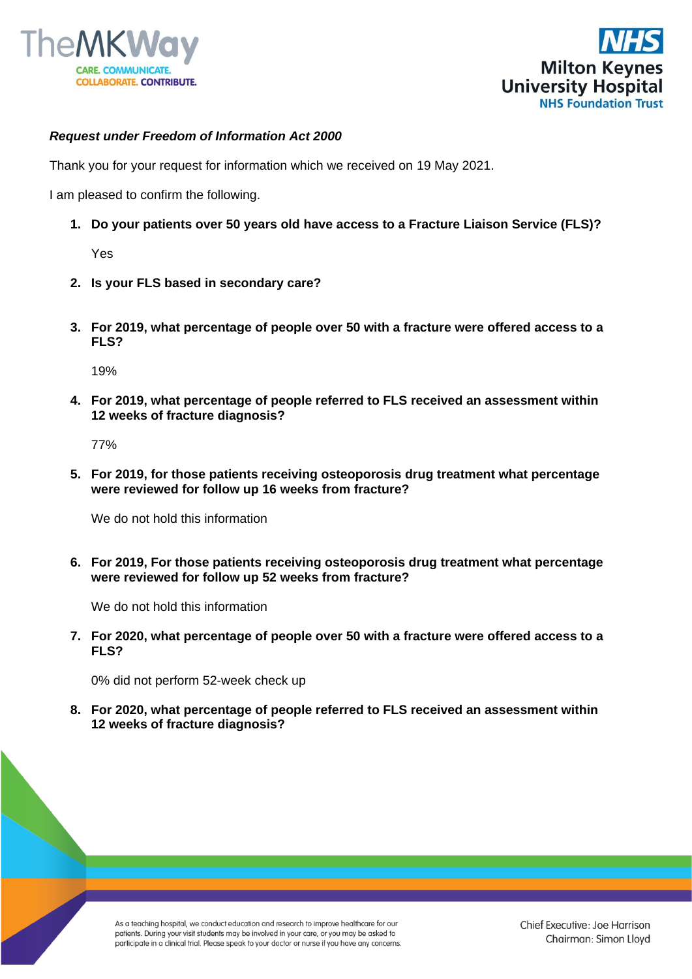



## *Request under Freedom of Information Act 2000*

Thank you for your request for information which we received on 19 May 2021.

I am pleased to confirm the following.

**1. Do your patients over 50 years old have access to a Fracture Liaison Service (FLS)?**

Yes

- **2. Is your FLS based in secondary care?**
- **3. For 2019, what percentage of people over 50 with a fracture were offered access to a FLS?**

19%

**4. For 2019, what percentage of people referred to FLS received an assessment within 12 weeks of fracture diagnosis?**

77%

**5. For 2019, for those patients receiving osteoporosis drug treatment what percentage were reviewed for follow up 16 weeks from fracture?**

We do not hold this information

**6. For 2019, For those patients receiving osteoporosis drug treatment what percentage were reviewed for follow up 52 weeks from fracture?**

We do not hold this information

**7. For 2020, what percentage of people over 50 with a fracture were offered access to a FLS?**

0% did not perform 52-week check up

**8. For 2020, what percentage of people referred to FLS received an assessment within 12 weeks of fracture diagnosis?**

As a teaching hospital, we conduct education and research to improve healthcare for our patients. During your visit students may be involved in your care, or you may be asked to participate in a clinical trial. Please speak to your doctor or nurse if you have any concerns. Chief Executive: Joe Harrison Chairman: Simon Lloyd